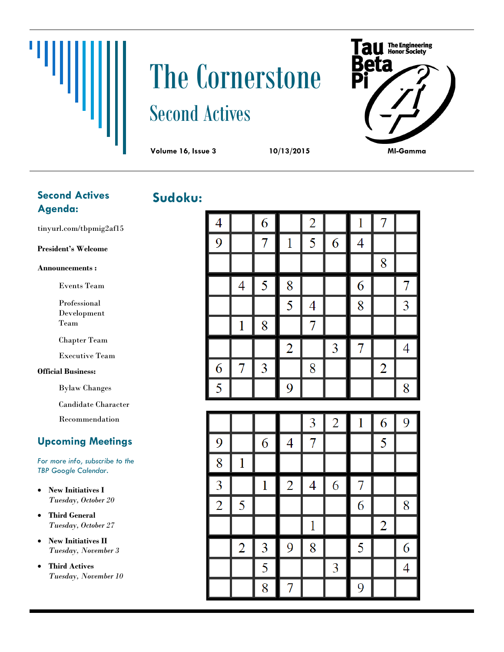# The Cornerstone Second Actives



## **Sudoku: Second Actives Agenda:**

Щ

tinyurl.com/tbpmig2af15

#### **President's Welcome**

#### **Announcements :**

- Events Team
- Professional Development Team

Chapter Team

Executive Team

#### **Official Business:**

Bylaw Changes

Candidate Character

Recommendation

### **Upcoming Meetings**

*For more info, subscribe to the TBP Google Calendar.*

- **New Initiatives I** *Tuesday, October 20*
- **Third General** *Tuesday, October 27*
- **New Initiatives II** *Tuesday, November 3*
- **Third Actives** *Tuesday, November 10*

| 4 |                | 6 |                | $\overline{2}$ |   | 1 | 7              |   |
|---|----------------|---|----------------|----------------|---|---|----------------|---|
| 9 |                | 7 | 1              | 5              | 6 | 4 |                |   |
|   |                |   |                |                |   |   | 8              |   |
|   | $\overline{4}$ | 5 | 8              |                |   | 6 |                | 7 |
|   |                |   | 5              | 4              |   | 8 |                | 3 |
|   | 1              | 8 |                |                |   |   |                |   |
|   |                |   | $\overline{2}$ |                | 3 | 7 |                | 4 |
| 6 | 7              | 3 |                | 8              |   |   | $\overline{2}$ |   |
| 5 |                |   | 9              |                |   |   |                | 8 |

|                |                |   |                | 3 | $\overline{2}$ | 1 | 6              | 9 |
|----------------|----------------|---|----------------|---|----------------|---|----------------|---|
| 9              |                | 6 | 4              |   |                |   | 5              |   |
| 8              |                |   |                |   |                |   |                |   |
| 3              |                | 1 | $\overline{2}$ | 4 | 6              | 7 |                |   |
| $\overline{2}$ | 5              |   |                |   |                | 6 |                | 8 |
|                |                |   |                |   |                |   | $\overline{2}$ |   |
|                | $\overline{2}$ | 3 | 9              | 8 |                | 5 |                | 6 |
|                |                | 5 |                |   | 3              |   |                | 4 |
|                |                | 8 |                |   |                | 9 |                |   |